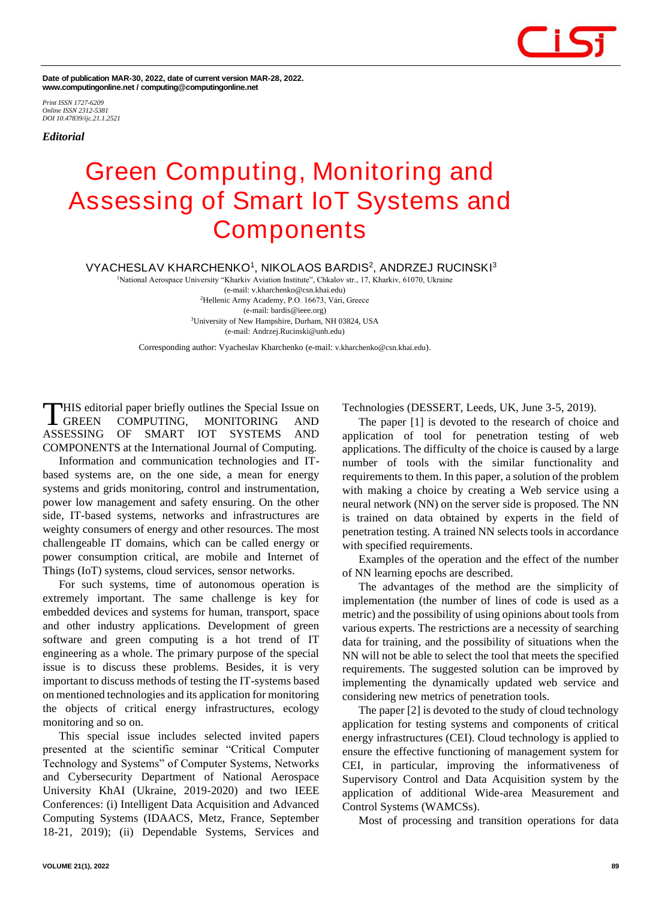

**Date of publication MAR-30, 2022, date of current version MAR-28, 2022. www.computingonline.net / computing@computingonline.net**

*Print ISSN 1727-6209 Online ISSN 2312-5381 DOI 10.47839/ijc.21.1.2521*

*Editorial*

## **Green Computing, Monitoring and Assessing of Smart IoT Systems and Components**

**VYACHESLAV KHARCHENKO<sup>1</sup> , NIKOLAOS BARDIS<sup>2</sup> , ANDRZEJ RUCINSKI<sup>3</sup>**

<sup>1</sup>National Aerospace University "Kharkiv Aviation Institute", Chkalov str., 17, Kharkiv, 61070, Ukraine (e-mail: v.kharchenko@csn.khai.edu) <sup>2</sup>[Hellenic Army Academy,](https://www.researchgate.net/institution/Hellenic_Army_Academy) P.O. 16673, Vári, Greece (e-mail: bardis@ieee.org) <sup>3</sup>University of New Hampshire, Durham, NH 03824, USA (e-mail: Andrzej.Rucinski@unh.edu)

Corresponding author: Vyacheslav Kharchenko (e-mail: v.kharchenko@csn.khai.edu).

HIS editorial paper briefly outlines the Special Issue on COMPUTING, MONITORING AND ASSESSING OF SMART IOT SYSTEMS AND COMPONENTS at the International Journal of Computing. **L** GREEN

Information and communication technologies and ITbased systems are, on the one side, a mean for energy systems and grids monitoring, control and instrumentation, power low management and safety ensuring. On the other side, IT-based systems, networks and infrastructures are weighty consumers of energy and other resources. The most challengeable IT domains, which can be called energy or power consumption critical, are mobile and Internet of Things (IoT) systems, cloud services, sensor networks.

For such systems, time of autonomous operation is extremely important. The same challenge is key for embedded devices and systems for human, transport, space and other industry applications. Development of green software and green computing is a hot trend of IT engineering as a whole. The primary purpose of the special issue is to discuss these problems. Besides, it is very important to discuss methods of testing the IT-systems based on mentioned technologies and its application for monitoring the objects of critical energy infrastructures, ecology monitoring and so on.

This special issue includes selected invited papers presented at the scientific seminar "Critical Computer Technology and Systems" of Computer Systems, Networks and Cybersecurity Department of National Aerospace University KhAI (Ukraine, 2019-2020) and two IEEE Conferences: (i) Intelligent Data Acquisition and Advanced Computing Systems (IDAACS, Metz, France, September 18-21, 2019); (ii) Dependable Systems, Services and

Technologies (DESSERT, Leeds, UK, June 3-5, 2019).

The paper [1] is devoted to the research of choice and application of tool for penetration testing of web applications. The difficulty of the choice is caused by a large number of tools with the similar functionality and requirements to them. In this paper, a solution of the problem with making a choice by creating a Web service using a neural network (NN) on the server side is proposed. The NN is trained on data obtained by experts in the field of penetration testing. A trained NN selects tools in accordance with specified requirements.

Examples of the operation and the effect of the number of NN learning epochs are described.

The advantages of the method are the simplicity of implementation (the number of lines of code is used as a metric) and the possibility of using opinions about tools from various experts. The restrictions are a necessity of searching data for training, and the possibility of situations when the NN will not be able to select the tool that meets the specified requirements. The suggested solution can be improved by implementing the dynamically updated web service and considering new metrics of penetration tools.

The paper [2] is devoted to the study of cloud technology application for testing systems and components of critical energy infrastructures (CEI). Cloud technology is applied to ensure the effective functioning of management system for CEI, in particular, improving the informativeness of Supervisory Control and Data Acquisition system by the application of additional Wide-area Measurement and Control Systems (WAMCSs).

Most of processing and transition operations for data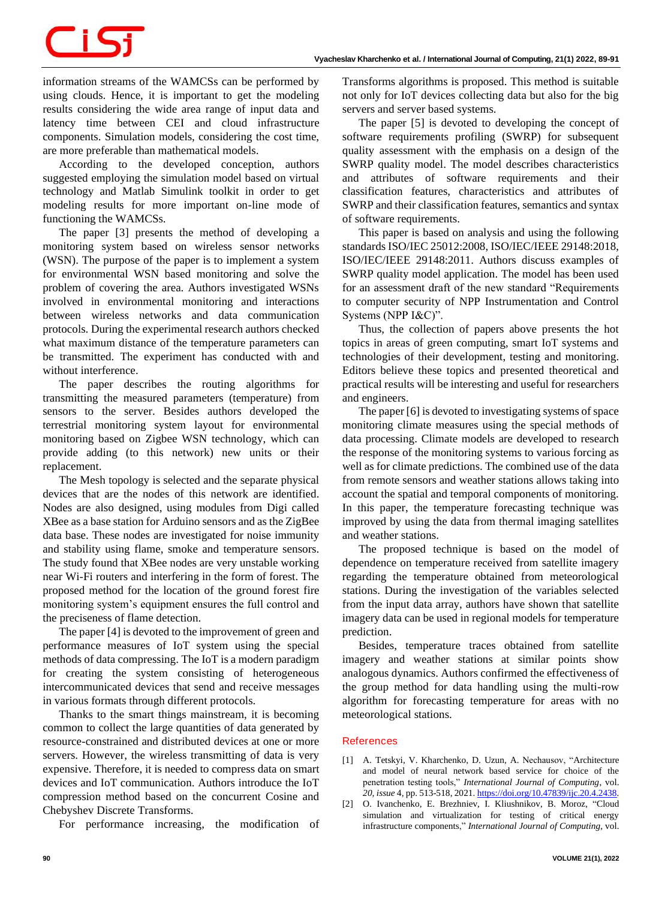## CiSj

information streams of the WAMCSs can be performed by using clouds. Hence, it is important to get the modeling results considering the wide area range of input data and latency time between CEI and cloud infrastructure components. Simulation models, considering the cost time, are more preferable than mathematical models.

According to the developed conception, authors suggested employing the simulation model based on virtual technology and Matlab Simulink toolkit in order to get modeling results for more important on-line mode of functioning the WAMCSs.

The paper [3] presents the method of developing a monitoring system based on wireless sensor networks (WSN). The purpose of the paper is to implement a system for environmental WSN based monitoring and solve the problem of covering the area. Authors investigated WSNs involved in environmental monitoring and interactions between wireless networks and data communication protocols. During the experimental research authors checked what maximum distance of the temperature parameters can be transmitted. The experiment has conducted with and without interference.

The paper describes the routing algorithms for transmitting the measured parameters (temperature) from sensors to the server. Besides authors developed the terrestrial monitoring system layout for environmental monitoring based on Zigbee WSN technology, which can provide adding (to this network) new units or their replacement.

The Mesh topology is selected and the separate physical devices that are the nodes of this network are identified. Nodes are also designed, using modules from Digi called XBee as a base station for Arduino sensors and as the ZigBee data base. These nodes are investigated for noise immunity and stability using flame, smoke and temperature sensors. The study found that XBee nodes are very unstable working near Wi-Fi routers and interfering in the form of forest. The proposed method for the location of the ground forest fire monitoring system's equipment ensures the full control and the preciseness of flame detection.

The paper [4] is devoted to the improvement of green and performance measures of IoT system using the special methods of data compressing. The IoT is a modern paradigm for creating the system consisting of heterogeneous intercommunicated devices that send and receive messages in various formats through different protocols.

Thanks to the smart things mainstream, it is becoming common to collect the large quantities of data generated by resource-constrained and distributed devices at one or more servers. However, the wireless transmitting of data is very expensive. Therefore, it is needed to compress data on smart devices and IoT communication. Authors introduce the IoT compression method based on the concurrent Cosine and Chebyshev Discrete Transforms.

For performance increasing, the modification of

Transforms algorithms is proposed. This method is suitable not only for IoT devices collecting data but also for the big servers and server based systems.

The paper [5] is devoted to developing the concept of software requirements profiling (SWRP) for subsequent quality assessment with the emphasis on a design of the SWRP quality model. The model describes characteristics and attributes of software requirements and their classification features, characteristics and attributes of SWRP and their classification features, semantics and syntax of software requirements.

This paper is based on analysis and using the following standards ISO/IEC 25012:2008, ISO/IEC/IEEE 29148:2018, ISO/IEC/IEEE 29148:2011. Authors discuss examples of SWRP quality model application. The model has been used for an assessment draft of the new standard "Requirements to computer security of NPP Instrumentation and Control Systems (NPP I&C)".

Thus, the collection of papers above presents the hot topics in areas of green computing, smart IoT systems and technologies of their development, testing and monitoring. Editors believe these topics and presented theoretical and practical results will be interesting and useful for researchers and engineers.

The paper [6] is devoted to investigating systems of space monitoring climate measures using the special methods of data processing. Climate models are developed to research the response of the monitoring systems to various forcing as well as for climate predictions. The combined use of the data from remote sensors and weather stations allows taking into account the spatial and temporal components of monitoring. In this paper, the temperature forecasting technique was improved by using the data from thermal imaging satellites and weather stations.

The proposed technique is based on the model of dependence on temperature received from satellite imagery regarding the temperature obtained from meteorological stations. During the investigation of the variables selected from the input data array, authors have shown that satellite imagery data can be used in regional models for temperature prediction.

Besides, temperature traces obtained from satellite imagery and weather stations at similar points show analogous dynamics. Authors confirmed the effectiveness of the group method for data handling using the multi-row algorithm for forecasting temperature for areas with no meteorological stations.

## **References**

- [1] A. Tetskyi, V. Kharchenko, D. Uzun, A. Nechausov, "Architecture and model of neural network based service for choice of the penetration testing tools," *International Journal of Computing*, vol. *20, issue* 4, pp. 513-518, 2021[. https://doi.org/10.47839/ijc.20.4.2438.](https://doi.org/10.47839/ijc.20.4.2438)
- [2] O. Ivanchenko, E. Brezhniev, I. Kliushnikov, B. Moroz, "Cloud simulation and virtualization for testing of critical energy infrastructure components," *International Journal of Computing*, vol.